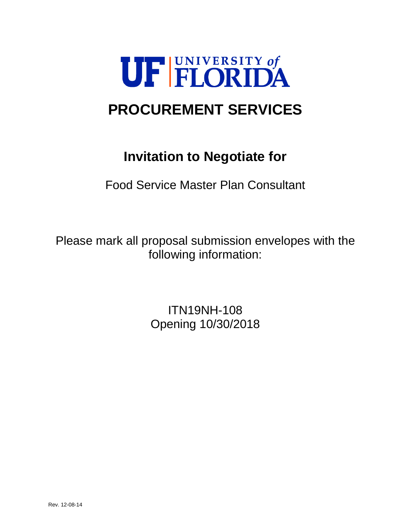

# **PROCUREMENT SERVICES**

# **Invitation to Negotiate for**

Food Service Master Plan Consultant

Please mark all proposal submission envelopes with the following information:

> ITN19NH-108 Opening 10/30/2018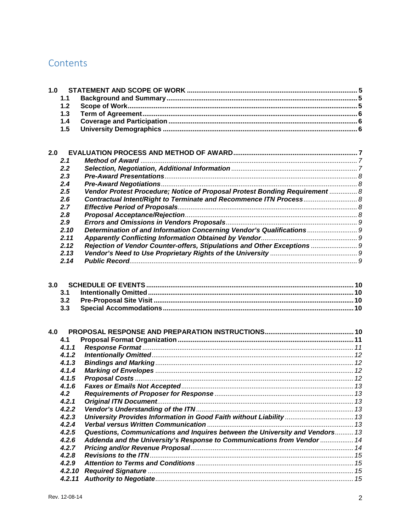## Contents

| 1.0 | 1.1<br>1.2<br>1.3<br>1.4 |                                                                              |  |
|-----|--------------------------|------------------------------------------------------------------------------|--|
|     | 1.5                      |                                                                              |  |
|     |                          |                                                                              |  |
| 2.0 |                          |                                                                              |  |
|     | 2.1                      |                                                                              |  |
|     | 2.2                      |                                                                              |  |
|     | 2.3                      |                                                                              |  |
|     | 2.4                      |                                                                              |  |
|     | 2.5                      | Vendor Protest Procedure; Notice of Proposal Protest Bonding Requirement  8  |  |
|     | 2.6                      |                                                                              |  |
|     | 2.7                      |                                                                              |  |
|     | 2.8                      |                                                                              |  |
|     | 2.9                      |                                                                              |  |
|     | 2.10                     | Determination of and Information Concerning Vendor's Qualifications          |  |
|     | 2.11                     |                                                                              |  |
|     | 2.12                     | Rejection of Vendor Counter-offers, Stipulations and Other Exceptions        |  |
|     | 2.13                     |                                                                              |  |
|     | 2.14                     |                                                                              |  |
|     |                          |                                                                              |  |
| 3.0 |                          |                                                                              |  |
|     |                          |                                                                              |  |
|     | 3.1<br>3.2               |                                                                              |  |
|     | 3.3                      |                                                                              |  |
|     |                          |                                                                              |  |
|     |                          |                                                                              |  |
| 4.0 |                          |                                                                              |  |
|     | 4.1                      |                                                                              |  |
|     | 4.1.1                    |                                                                              |  |
|     | 4.1.2                    |                                                                              |  |
|     | 4.1.3                    |                                                                              |  |
|     | 4.1.4                    |                                                                              |  |
|     | 4.1.5                    |                                                                              |  |
|     | 4.1.6                    |                                                                              |  |
|     | 4.2                      |                                                                              |  |
|     | 4.2.1                    |                                                                              |  |
|     | 4.2.2                    |                                                                              |  |
|     | 4.2.3                    | University Provides Information in Good Faith without Liability  13          |  |
|     | 4.2.4                    |                                                                              |  |
|     | 4.2.5                    | Questions, Communications and Inquires between the University and Vendors 13 |  |
|     | 4.2.6                    | Addenda and the University's Response to Communications from Vendor  14      |  |
|     | 4.2.7                    |                                                                              |  |
|     | 4.2.8                    |                                                                              |  |
|     | 4.2.9                    |                                                                              |  |
|     | 4.2.10                   |                                                                              |  |
|     | 4.2.11                   |                                                                              |  |
|     |                          |                                                                              |  |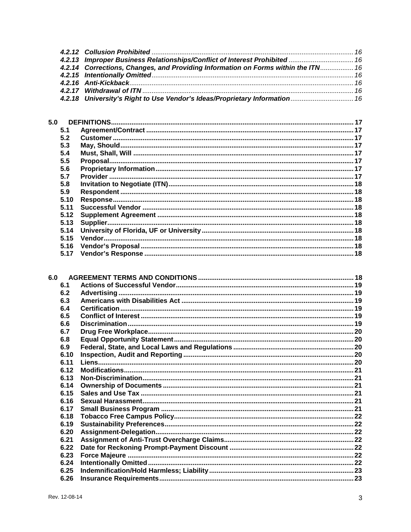| 4.2.13 Improper Business Relationships/Conflict of Interest Prohibited  16        |  |
|-----------------------------------------------------------------------------------|--|
| 4.2.14 Corrections, Changes, and Providing Information on Forms within the ITN 16 |  |
|                                                                                   |  |
|                                                                                   |  |
|                                                                                   |  |
| 4.2.18 University's Right to Use Vendor's Ideas/Proprietary Information 16        |  |

| 5.0  |  |
|------|--|
| 5.1  |  |
| 5.2  |  |
| 5.3  |  |
| 5.4  |  |
| 5.5  |  |
| 5.6  |  |
| 5.7  |  |
| 5.8  |  |
| 5.9  |  |
| 5.10 |  |
| 5.11 |  |
| 5.12 |  |
| 5.13 |  |
| 5.14 |  |
| 5.15 |  |
| 5.16 |  |
| 5.17 |  |

| 6.1  |  |
|------|--|
| 6.2  |  |
| 6.3  |  |
| 6.4  |  |
| 6.5  |  |
| 6.6  |  |
| 6.7  |  |
| 6.8  |  |
| 6.9  |  |
| 6.10 |  |
| 6.11 |  |
| 6.12 |  |
| 6.13 |  |
| 6.14 |  |
| 6.15 |  |
| 6.16 |  |
| 6.17 |  |
| 6.18 |  |
| 6.19 |  |
| 6.20 |  |
| 6.21 |  |
| 6.22 |  |
| 6.23 |  |
| 6.24 |  |
| 6.25 |  |
| 6.26 |  |
|      |  |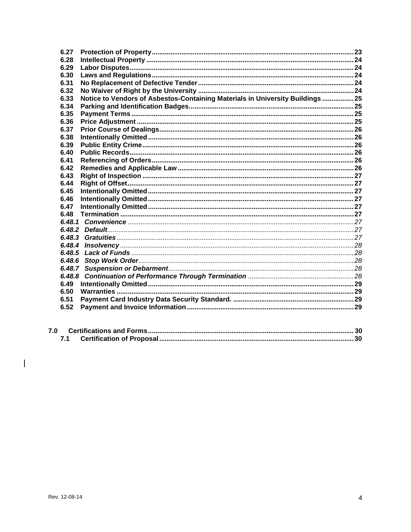| 6.27         |                                                                                |  |
|--------------|--------------------------------------------------------------------------------|--|
| 6.28         |                                                                                |  |
| 6.29         |                                                                                |  |
| 6.30         |                                                                                |  |
| 6.31         |                                                                                |  |
| 6.32         |                                                                                |  |
| 6.33         | Notice to Vendors of Asbestos-Containing Materials in University Buildings  25 |  |
| 6.34         |                                                                                |  |
| 6.35         |                                                                                |  |
| 6.36         |                                                                                |  |
| 6.37         |                                                                                |  |
| 6.38         |                                                                                |  |
| 6.39         |                                                                                |  |
| 6.40         |                                                                                |  |
| 6.41         |                                                                                |  |
| 6.42         |                                                                                |  |
| 6.43         |                                                                                |  |
| 6.44         |                                                                                |  |
| 6.45<br>6.46 |                                                                                |  |
| 6.47         |                                                                                |  |
| 6.48         |                                                                                |  |
|              |                                                                                |  |
|              |                                                                                |  |
|              |                                                                                |  |
|              |                                                                                |  |
| 6.48.5       |                                                                                |  |
| 6.48.6       |                                                                                |  |
|              |                                                                                |  |
|              |                                                                                |  |
| 6.49         |                                                                                |  |
| 6.50         |                                                                                |  |
| 6.51         |                                                                                |  |
| 6.52         |                                                                                |  |
|              |                                                                                |  |

| 7.0 |  |  |
|-----|--|--|
|     |  |  |

 $\overline{\mathbb{I}}$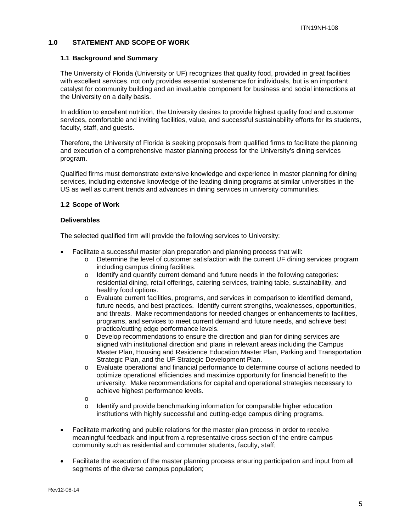## <span id="page-4-0"></span>**1.0 STATEMENT AND SCOPE OF WORK**

#### <span id="page-4-1"></span>**1.1 Background and Summary**

The University of Florida (University or UF) recognizes that quality food, provided in great facilities with excellent services, not only provides essential sustenance for individuals, but is an important catalyst for community building and an invaluable component for business and social interactions at the University on a daily basis.

In addition to excellent nutrition, the University desires to provide highest quality food and customer services, comfortable and inviting facilities, value, and successful sustainability efforts for its students, faculty, staff, and guests.

Therefore, the University of Florida is seeking proposals from qualified firms to facilitate the planning and execution of a comprehensive master planning process for the University's dining services program.

Qualified firms must demonstrate extensive knowledge and experience in master planning for dining services, including extensive knowledge of the leading dining programs at similar universities in the US as well as current trends and advances in dining services in university communities.

#### <span id="page-4-2"></span>**1.2 Scope of Work**

#### **Deliverables**

The selected qualified firm will provide the following services to University:

- Facilitate a successful master plan preparation and planning process that will:
	- o Determine the level of customer satisfaction with the current UF dining services program including campus dining facilities.
	- $\circ$  Identify and quantify current demand and future needs in the following categories: residential dining, retail offerings, catering services, training table, sustainability, and healthy food options.
	- o Evaluate current facilities, programs, and services in comparison to identified demand, future needs, and best practices. Identify current strengths, weaknesses, opportunities, and threats. Make recommendations for needed changes or enhancements to facilities, programs, and services to meet current demand and future needs, and achieve best practice/cutting edge performance levels.
	- o Develop recommendations to ensure the direction and plan for dining services are aligned with institutional direction and plans in relevant areas including the Campus Master Plan, Housing and Residence Education Master Plan, Parking and Transportation Strategic Plan, and the UF Strategic Development Plan.
	- o Evaluate operational and financial performance to determine course of actions needed to optimize operational efficiencies and maximize opportunity for financial benefit to the university. Make recommendations for capital and operational strategies necessary to achieve highest performance levels.
	- o
	- Identify and provide benchmarking information for comparable higher education institutions with highly successful and cutting-edge campus dining programs.
- Facilitate marketing and public relations for the master plan process in order to receive meaningful feedback and input from a representative cross section of the entire campus community such as residential and commuter students, faculty, staff;
- Facilitate the execution of the master planning process ensuring participation and input from all segments of the diverse campus population;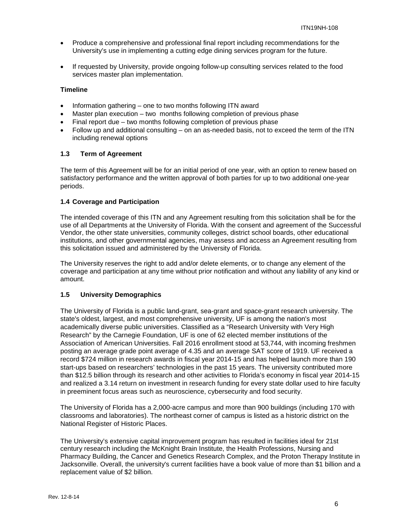- Produce a comprehensive and professional final report including recommendations for the University's use in implementing a cutting edge dining services program for the future.
- If requested by University, provide ongoing follow-up consulting services related to the food services master plan implementation.

#### **Timeline**

- Information gathering one to two months following ITN award
- Master plan execution two months following completion of previous phase
- Final report due two months following completion of previous phase
- Follow up and additional consulting on an as-needed basis, not to exceed the term of the ITN including renewal options

#### <span id="page-5-0"></span>**1.3 Term of Agreement**

The term of this Agreement will be for an initial period of one year, with an option to renew based on satisfactory performance and the written approval of both parties for up to two additional one-year periods.

#### <span id="page-5-1"></span>**1.4 Coverage and Participation**

The intended coverage of this ITN and any Agreement resulting from this solicitation shall be for the use of all Departments at the University of Florida. With the consent and agreement of the Successful Vendor, the other state universities, community colleges, district school boards, other educational institutions, and other governmental agencies, may assess and access an Agreement resulting from this solicitation issued and administered by the University of Florida.

The University reserves the right to add and/or delete elements, or to change any element of the coverage and participation at any time without prior notification and without any liability of any kind or amount.

#### <span id="page-5-2"></span>**1.5 University Demographics**

The University of Florida is a public land-grant, sea-grant and space-grant research university. The state's oldest, largest, and most comprehensive university, UF is among the nation's most academically diverse public universities. Classified as a "Research University with Very High Research" by the Carnegie Foundation, UF is one of 62 elected member institutions of the Association of American Universities. Fall 2016 enrollment stood at 53,744, with incoming freshmen posting an average grade point average of 4.35 and an average SAT score of 1919. UF received a record \$724 million in research awards in fiscal year 2014-15 and has helped launch more than 190 start-ups based on researchers' technologies in the past 15 years. The university contributed more than \$12.5 billion through its research and other activities to Florida's economy in fiscal year 2014-15 and realized a 3.14 return on investment in research funding for every state dollar used to hire faculty in preeminent focus areas such as neuroscience, cybersecurity and food security.

The University of Florida has a 2,000-acre campus and more than 900 buildings (including 170 with classrooms and laboratories). The northeast corner of campus is listed as a historic district on the National Register of Historic Places.

The University's extensive capital improvement program has resulted in facilities ideal for 21st century research including the McKnight Brain Institute, the Health Professions, Nursing and Pharmacy Building, the Cancer and Genetics Research Complex, and the Proton Therapy Institute in Jacksonville. Overall, the university's current facilities have a book value of more than \$1 billion and a replacement value of \$2 billion.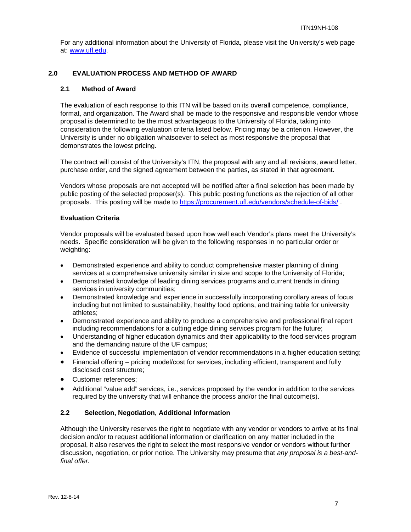For any additional information about the University of Florida, please visit the University's web page at: [www.ufl.edu.](http://www.ufl.edu/)

## <span id="page-6-0"></span>**2.0 EVALUATION PROCESS AND METHOD OF AWARD**

## <span id="page-6-1"></span>**2.1 Method of Award**

The evaluation of each response to this ITN will be based on its overall competence, compliance, format, and organization. The Award shall be made to the responsive and responsible vendor whose proposal is determined to be the most advantageous to the University of Florida, taking into consideration the following evaluation criteria listed below. Pricing may be a criterion. However, the University is under no obligation whatsoever to select as most responsive the proposal that demonstrates the lowest pricing.

The contract will consist of the University's ITN, the proposal with any and all revisions, award letter, purchase order, and the signed agreement between the parties, as stated in that agreement.

Vendors whose proposals are not accepted will be notified after a final selection has been made by public posting of the selected proposer(s). This public posting functions as the rejection of all other proposals. This posting will be made to <https://procurement.ufl.edu/vendors/schedule-of-bids/> .

## **Evaluation Criteria**

Vendor proposals will be evaluated based upon how well each Vendor's plans meet the University's needs. Specific consideration will be given to the following responses in no particular order or weighting:

- Demonstrated experience and ability to conduct comprehensive master planning of dining services at a comprehensive university similar in size and scope to the University of Florida;
- Demonstrated knowledge of leading dining services programs and current trends in dining services in university communities;
- Demonstrated knowledge and experience in successfully incorporating corollary areas of focus including but not limited to sustainability, healthy food options, and training table for university athletes;
- Demonstrated experience and ability to produce a comprehensive and professional final report including recommendations for a cutting edge dining services program for the future;
- Understanding of higher education dynamics and their applicability to the food services program and the demanding nature of the UF campus;
- Evidence of successful implementation of vendor recommendations in a higher education setting;
- Financial offering pricing model/cost for services, including efficient, transparent and fully disclosed cost structure;
- Customer references;
- Additional "value add" services, i.e., services proposed by the vendor in addition to the services required by the university that will enhance the process and/or the final outcome(s).

#### <span id="page-6-2"></span>**2.2 Selection, Negotiation, Additional Information**

Although the University reserves the right to negotiate with any vendor or vendors to arrive at its final decision and/or to request additional information or clarification on any matter included in the proposal, it also reserves the right to select the most responsive vendor or vendors without further discussion, negotiation, or prior notice. The University may presume that *any proposal is a best-andfinal offer.*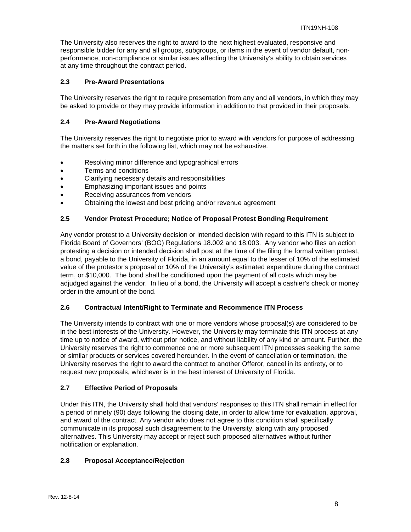The University also reserves the right to award to the next highest evaluated, responsive and responsible bidder for any and all groups, subgroups, or items in the event of vendor default, nonperformance, non-compliance or similar issues affecting the University's ability to obtain services at any time throughout the contract period.

## <span id="page-7-0"></span>**2.3 Pre-Award Presentations**

The University reserves the right to require presentation from any and all vendors, in which they may be asked to provide or they may provide information in addition to that provided in their proposals.

## <span id="page-7-1"></span>**2.4 Pre-Award Negotiations**

The University reserves the right to negotiate prior to award with vendors for purpose of addressing the matters set forth in the following list, which may not be exhaustive.

- Resolving minor difference and typographical errors
- Terms and conditions
- Clarifying necessary details and responsibilities
- Emphasizing important issues and points
- Receiving assurances from vendors
- Obtaining the lowest and best pricing and/or revenue agreement

## <span id="page-7-2"></span>**2.5 Vendor Protest Procedure; Notice of Proposal Protest Bonding Requirement**

Any vendor protest to a University decision or intended decision with regard to this ITN is subject to Florida Board of Governors' (BOG) Regulations 18.002 and 18.003. Any vendor who files an action protesting a decision or intended decision shall post at the time of the filing the formal written protest, a bond, payable to the University of Florida, in an amount equal to the lesser of 10% of the estimated value of the protestor's proposal or 10% of the University's estimated expenditure during the contract term, or \$10,000. The bond shall be conditioned upon the payment of all costs which may be adjudged against the vendor. In lieu of a bond, the University will accept a cashier's check or money order in the amount of the bond.

#### <span id="page-7-3"></span>**2.6 Contractual Intent/Right to Terminate and Recommence ITN Process**

The University intends to contract with one or more vendors whose proposal(s) are considered to be in the best interests of the University. However, the University may terminate this ITN process at any time up to notice of award, without prior notice, and without liability of any kind or amount. Further, the University reserves the right to commence one or more subsequent ITN processes seeking the same or similar products or services covered hereunder. In the event of cancellation or termination, the University reserves the right to award the contract to another Offeror, cancel in its entirety, or to request new proposals, whichever is in the best interest of University of Florida.

#### <span id="page-7-4"></span>**2.7 Effective Period of Proposals**

Under this ITN, the University shall hold that vendors' responses to this ITN shall remain in effect for a period of ninety (90) days following the closing date, in order to allow time for evaluation, approval, and award of the contract. Any vendor who does not agree to this condition shall specifically communicate in its proposal such disagreement to the University, along with any proposed alternatives. This University may accept or reject such proposed alternatives without further notification or explanation.

## <span id="page-7-5"></span>**2.8 Proposal Acceptance/Rejection**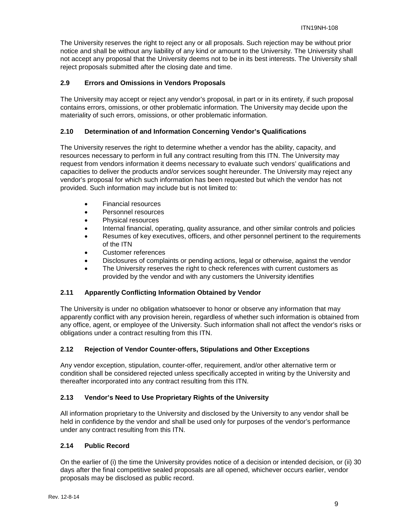The University reserves the right to reject any or all proposals. Such rejection may be without prior notice and shall be without any liability of any kind or amount to the University. The University shall not accept any proposal that the University deems not to be in its best interests. The University shall reject proposals submitted after the closing date and time.

## <span id="page-8-0"></span>**2.9 Errors and Omissions in Vendors Proposals**

The University may accept or reject any vendor's proposal, in part or in its entirety, if such proposal contains errors, omissions, or other problematic information. The University may decide upon the materiality of such errors, omissions, or other problematic information.

## <span id="page-8-1"></span>**2.10 Determination of and Information Concerning Vendor's Qualifications**

The University reserves the right to determine whether a vendor has the ability, capacity, and resources necessary to perform in full any contract resulting from this ITN. The University may request from vendors information it deems necessary to evaluate such vendors' qualifications and capacities to deliver the products and/or services sought hereunder. The University may reject any vendor's proposal for which such information has been requested but which the vendor has not provided. Such information may include but is not limited to:

- Financial resources
- Personnel resources
- Physical resources
- Internal financial, operating, quality assurance, and other similar controls and policies
- Resumes of key executives, officers, and other personnel pertinent to the requirements of the ITN
- Customer references
- Disclosures of complaints or pending actions, legal or otherwise, against the vendor
- The University reserves the right to check references with current customers as provided by the vendor and with any customers the University identifies

## <span id="page-8-2"></span>**2.11 Apparently Conflicting Information Obtained by Vendor**

The University is under no obligation whatsoever to honor or observe any information that may apparently conflict with any provision herein, regardless of whether such information is obtained from any office, agent, or employee of the University. Such information shall not affect the vendor's risks or obligations under a contract resulting from this ITN.

## <span id="page-8-3"></span>**2.12 Rejection of Vendor Counter-offers, Stipulations and Other Exceptions**

Any vendor exception, stipulation, counter-offer, requirement, and/or other alternative term or condition shall be considered rejected unless specifically accepted in writing by the University and thereafter incorporated into any contract resulting from this ITN.

## <span id="page-8-4"></span>**2.13 Vendor's Need to Use Proprietary Rights of the University**

All information proprietary to the University and disclosed by the University to any vendor shall be held in confidence by the vendor and shall be used only for purposes of the vendor's performance under any contract resulting from this ITN.

## <span id="page-8-5"></span>**2.14 Public Record**

On the earlier of (i) the time the University provides notice of a decision or intended decision, or (ii) 30 days after the final competitive sealed proposals are all opened, whichever occurs earlier, vendor proposals may be disclosed as public record.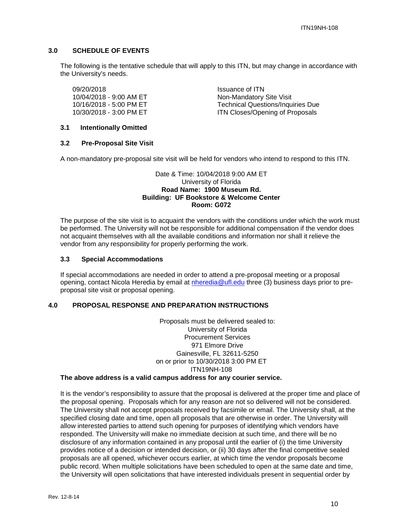## <span id="page-9-0"></span>**3.0 SCHEDULE OF EVENTS**

The following is the tentative schedule that will apply to this ITN, but may change in accordance with the University's needs.

09/20/2018<br>10/04/2018 - 9:00 AM ET Non-Mandatory

Non-Mandatory Site Visit 10/16/2018 - 5:00 PM ET Technical Questions/Inquiries Due 10/30/2018 - 3:00 PM ET **ITN Closes/Opening of Proposals** 

## <span id="page-9-1"></span>**3.1 Intentionally Omitted**

#### <span id="page-9-2"></span>**3.2 Pre-Proposal Site Visit**

A non-mandatory pre-proposal site visit will be held for vendors who intend to respond to this ITN.

#### Date & Time: 10/04/2018 9:00 AM ET University of Florida **Road Name: 1900 Museum Rd. Building: UF Bookstore & Welcome Center Room: G072**

The purpose of the site visit is to acquaint the vendors with the conditions under which the work must be performed. The University will not be responsible for additional compensation if the vendor does not acquaint themselves with all the available conditions and information nor shall it relieve the vendor from any responsibility for properly performing the work.

#### <span id="page-9-3"></span>**3.3 Special Accommodations**

If special accommodations are needed in order to attend a pre-proposal meeting or a proposal opening, contact Nicola Heredia by email at [nheredia@ufl.edu](mailto:nheredia@ufl.edu) three (3) business days prior to preproposal site visit or proposal opening.

#### <span id="page-9-4"></span>**4.0 PROPOSAL RESPONSE AND PREPARATION INSTRUCTIONS**

Proposals must be delivered sealed to: University of Florida Procurement Services 971 Elmore Drive Gainesville, FL 32611-5250 on or prior to 10/30/2018 3:00 PM ET ITN19NH-108

#### **The above address is a valid campus address for any courier service.**

It is the vendor's responsibility to assure that the proposal is delivered at the proper time and place of the proposal opening. Proposals which for any reason are not so delivered will not be considered. The University shall not accept proposals received by facsimile or email. The University shall, at the specified closing date and time, open all proposals that are otherwise in order. The University will allow interested parties to attend such opening for purposes of identifying which vendors have responded. The University will make no immediate decision at such time, and there will be no disclosure of any information contained in any proposal until the earlier of (i) the time University provides notice of a decision or intended decision, or (ii) 30 days after the final competitive sealed proposals are all opened, whichever occurs earlier, at which time the vendor proposals become public record. When multiple solicitations have been scheduled to open at the same date and time, the University will open solicitations that have interested individuals present in sequential order by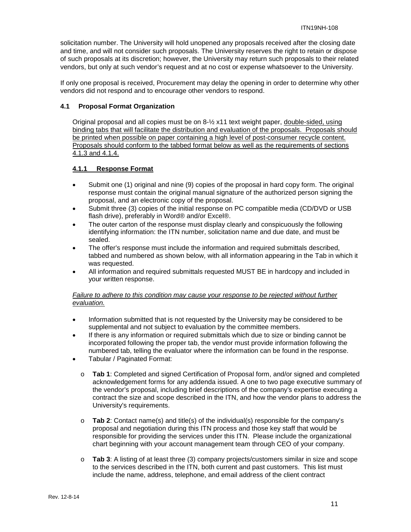solicitation number. The University will hold unopened any proposals received after the closing date and time, and will not consider such proposals. The University reserves the right to retain or dispose of such proposals at its discretion; however, the University may return such proposals to their related vendors, but only at such vendor's request and at no cost or expense whatsoever to the University.

If only one proposal is received, Procurement may delay the opening in order to determine why other vendors did not respond and to encourage other vendors to respond.

#### <span id="page-10-0"></span>**4.1 Proposal Format Organization**

Original proposal and all copies must be on 8-½ x11 text weight paper, double-sided, using binding tabs that will facilitate the distribution and evaluation of the proposals. Proposals should be printed when possible on paper containing a high level of post-consumer recycle content. Proposals should conform to the tabbed format below as well as the requirements of sections 4.1.3 and 4.1.4.

## <span id="page-10-1"></span>**4.1.1 Response Format**

- Submit one (1) original and nine (9) copies of the proposal in hard copy form. The original response must contain the original manual signature of the authorized person signing the proposal, and an electronic copy of the proposal.
- Submit three (3) copies of the initial response on PC compatible media (CD/DVD or USB flash drive), preferably in Word® and/or Excel®.
- The outer carton of the response must display clearly and conspicuously the following identifying information: the ITN number, solicitation name and due date, and must be sealed.
- The offer's response must include the information and required submittals described, tabbed and numbered as shown below, with all information appearing in the Tab in which it was requested.
- All information and required submittals requested MUST BE in hardcopy and included in your written response.

#### *Failure to adhere to this condition may cause your response to be rejected without further evaluation.*

- Information submitted that is not requested by the University may be considered to be supplemental and not subject to evaluation by the committee members.
- If there is any information or required submittals which due to size or binding cannot be incorporated following the proper tab, the vendor must provide information following the numbered tab, telling the evaluator where the information can be found in the response.
- Tabular / Paginated Format:
	- o **Tab 1**: Completed and signed Certification of Proposal form, and/or signed and completed acknowledgement forms for any addenda issued. A one to two page executive summary of the vendor's proposal, including brief descriptions of the company's expertise executing a contract the size and scope described in the ITN, and how the vendor plans to address the University's requirements.
	- o **Tab 2**: Contact name(s) and title(s) of the individual(s) responsible for the company's proposal and negotiation during this ITN process and those key staff that would be responsible for providing the services under this ITN. Please include the organizational chart beginning with your account management team through CEO of your company.
	- o **Tab 3**: A listing of at least three (3) company projects/customers similar in size and scope to the services described in the ITN, both current and past customers. This list must include the name, address, telephone, and email address of the client contract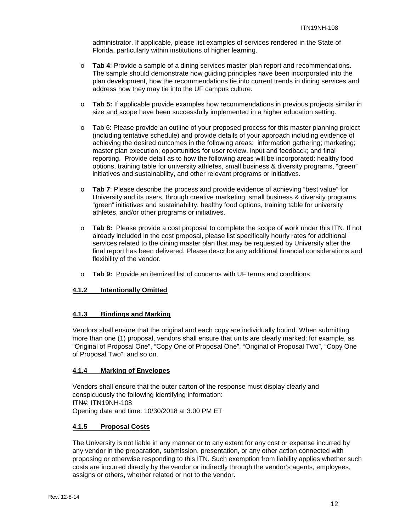administrator. If applicable, please list examples of services rendered in the State of Florida, particularly within institutions of higher learning.

- o **Tab 4**: Provide a sample of a dining services master plan report and recommendations. The sample should demonstrate how guiding principles have been incorporated into the plan development, how the recommendations tie into current trends in dining services and address how they may tie into the UF campus culture.
- o **Tab 5:** If applicable provide examples how recommendations in previous projects similar in size and scope have been successfully implemented in a higher education setting.
- o Tab 6: Please provide an outline of your proposed process for this master planning project (including tentative schedule) and provide details of your approach including evidence of achieving the desired outcomes in the following areas: information gathering; marketing; master plan execution; opportunities for user review, input and feedback; and final reporting. Provide detail as to how the following areas will be incorporated: healthy food options, training table for university athletes, small business & diversity programs, "green" initiatives and sustainability, and other relevant programs or initiatives.
- o **Tab 7**: Please describe the process and provide evidence of achieving "best value" for University and its users, through creative marketing, small business & diversity programs, "green" initiatives and sustainability, healthy food options, training table for university athletes, and/or other programs or initiatives.
- o **Tab 8:** Please provide a cost proposal to complete the scope of work under this ITN. If not already included in the cost proposal, please list specifically hourly rates for additional services related to the dining master plan that may be requested by University after the final report has been delivered. Please describe any additional financial considerations and flexibility of the vendor.
- o **Tab 9:** Provide an itemized list of concerns with UF terms and conditions

## <span id="page-11-0"></span>**4.1.2 Intentionally Omitted**

#### <span id="page-11-1"></span>**4.1.3 Bindings and Marking**

Vendors shall ensure that the original and each copy are individually bound. When submitting more than one (1) proposal, vendors shall ensure that units are clearly marked; for example, as "Original of Proposal One", "Copy One of Proposal One", "Original of Proposal Two", "Copy One of Proposal Two", and so on.

#### <span id="page-11-2"></span>**4.1.4 Marking of Envelopes**

Vendors shall ensure that the outer carton of the response must display clearly and conspicuously the following identifying information: ITN#: ITN19NH-108 Opening date and time: 10/30/2018 at 3:00 PM ET

#### <span id="page-11-3"></span>**4.1.5 Proposal Costs**

The University is not liable in any manner or to any extent for any cost or expense incurred by any vendor in the preparation, submission, presentation, or any other action connected with proposing or otherwise responding to this ITN. Such exemption from liability applies whether such costs are incurred directly by the vendor or indirectly through the vendor's agents, employees, assigns or others, whether related or not to the vendor.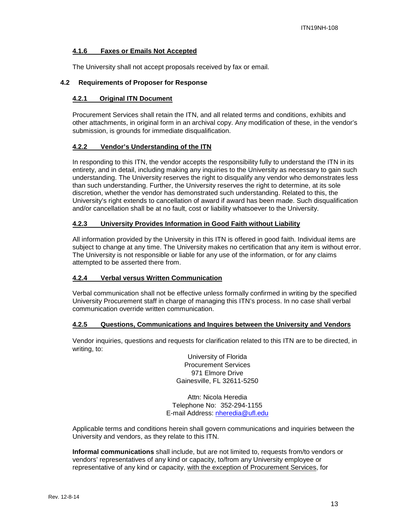#### <span id="page-12-0"></span>**4.1.6 Faxes or Emails Not Accepted**

The University shall not accept proposals received by fax or email.

#### <span id="page-12-2"></span><span id="page-12-1"></span>**4.2 Requirements of Proposer for Response**

#### **4.2.1 Original ITN Document**

Procurement Services shall retain the ITN, and all related terms and conditions, exhibits and other attachments, in original form in an archival copy. Any modification of these, in the vendor's submission, is grounds for immediate disqualification.

#### <span id="page-12-3"></span>**4.2.2 Vendor's Understanding of the ITN**

In responding to this ITN, the vendor accepts the responsibility fully to understand the ITN in its entirety, and in detail, including making any inquiries to the University as necessary to gain such understanding. The University reserves the right to disqualify any vendor who demonstrates less than such understanding. Further, the University reserves the right to determine, at its sole discretion, whether the vendor has demonstrated such understanding. Related to this, the University's right extends to cancellation of award if award has been made. Such disqualification and/or cancellation shall be at no fault, cost or liability whatsoever to the University.

#### <span id="page-12-4"></span>**4.2.3 University Provides Information in Good Faith without Liability**

All information provided by the University in this ITN is offered in good faith. Individual items are subject to change at any time. The University makes no certification that any item is without error. The University is not responsible or liable for any use of the information, or for any claims attempted to be asserted there from.

## <span id="page-12-5"></span>**4.2.4 Verbal versus Written Communication**

Verbal communication shall not be effective unless formally confirmed in writing by the specified University Procurement staff in charge of managing this ITN's process. In no case shall verbal communication override written communication.

#### <span id="page-12-6"></span>**4.2.5 Questions, Communications and Inquires between the University and Vendors**

Vendor inquiries, questions and requests for clarification related to this ITN are to be directed, in writing, to:

> University of Florida Procurement Services 971 Elmore Drive Gainesville, FL 32611-5250

Attn: Nicola Heredia Telephone No: 352-294-1155 E-mail Address: [nheredia@ufl.edu](mailto:nheredia@ufl.edu)

Applicable terms and conditions herein shall govern communications and inquiries between the University and vendors, as they relate to this ITN.

**Informal communications** shall include, but are not limited to, requests from/to vendors or vendors' representatives of any kind or capacity, to/from any University employee or representative of any kind or capacity, with the exception of Procurement Services, for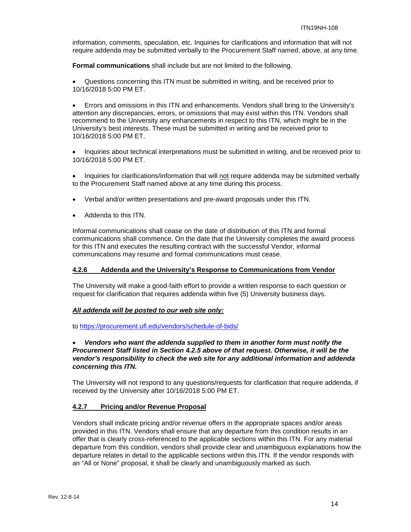information, comments, speculation, etc. Inquiries for clarifications and information that will not require addenda may be submitted verbally to the Procurement Staff named, above, at any time.

**Formal communications** shall include but are not limited to the following.

• Questions concerning this ITN must be submitted in writing, and be received prior to 10/16/2018 5:00 PM ET.

• Errors and omissions in this ITN and enhancements. Vendors shall bring to the University's attention any discrepancies, errors, or omissions that may exist within this ITN. Vendors shall recommend to the University any enhancements in respect to this ITN, which might be in the University's best interests. These must be submitted in writing and be received prior to 10/16/2018 5:00 PM ET.

• Inquiries about technical interpretations must be submitted in writing, and be received prior to 10/16/2018 5:00 PM ET.

• Inquiries for clarifications/information that will not require addenda may be submitted verbally to the Procurement Staff named above at any time during this process.

- Verbal and/or written presentations and pre-award proposals under this ITN.
- Addenda to this ITN.

Informal communications shall cease on the date of distribution of this ITN and formal communications shall commence. On the date that the University completes the award process for this ITN and executes the resulting contract with the successful Vendor, informal communications may resume and formal communications must cease.

#### <span id="page-13-0"></span>**4.2.6 Addenda and the University's Response to Communications from Vendor**

The University will make a good-faith effort to provide a written response to each question or request for clarification that requires addenda within five (5) University business days.

#### *All addenda will be posted to our web site only:*

to<https://procurement.ufl.edu/vendors/schedule-of-bids/>

## • *Vendors who want the addenda supplied to them in another form must notify the Procurement Staff listed in Section 4.2.5 above of that request. Otherwise, it will be the vendor's responsibility to check the web site for any additional information and addenda concerning this ITN.*

The University will not respond to any questions/requests for clarification that require addenda, if received by the University after 10/16/2018 5:00 PM ET.

#### <span id="page-13-1"></span>**4.2.7 Pricing and/or Revenue Proposal**

Vendors shall indicate pricing and/or revenue offers in the appropriate spaces and/or areas provided in this ITN. Vendors shall ensure that any departure from this condition results in an offer that is clearly cross-referenced to the applicable sections within this ITN. For any material departure from this condition, vendors shall provide clear and unambiguous explanations how the departure relates in detail to the applicable sections within this ITN. If the vendor responds with an "All or None" proposal, it shall be clearly and unambiguously marked as such.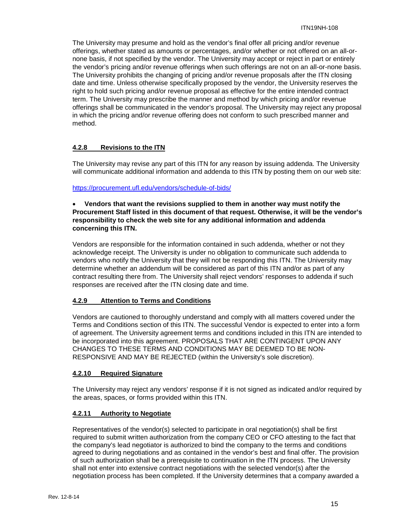The University may presume and hold as the vendor's final offer all pricing and/or revenue offerings, whether stated as amounts or percentages, and/or whether or not offered on an all-ornone basis, if not specified by the vendor. The University may accept or reject in part or entirely the vendor's pricing and/or revenue offerings when such offerings are not on an all-or-none basis. The University prohibits the changing of pricing and/or revenue proposals after the ITN closing date and time. Unless otherwise specifically proposed by the vendor, the University reserves the right to hold such pricing and/or revenue proposal as effective for the entire intended contract term. The University may prescribe the manner and method by which pricing and/or revenue offerings shall be communicated in the vendor's proposal. The University may reject any proposal in which the pricing and/or revenue offering does not conform to such prescribed manner and method.

## <span id="page-14-0"></span>**4.2.8 Revisions to the ITN**

The University may revise any part of this ITN for any reason by issuing addenda. The University will communicate additional information and addenda to this ITN by posting them on our web site:

#### <https://procurement.ufl.edu/vendors/schedule-of-bids/>

#### • **Vendors that want the revisions supplied to them in another way must notify the Procurement Staff listed in this document of that request. Otherwise, it will be the vendor's responsibility to check the web site for any additional information and addenda concerning this ITN.**

Vendors are responsible for the information contained in such addenda, whether or not they acknowledge receipt. The University is under no obligation to communicate such addenda to vendors who notify the University that they will not be responding this ITN. The University may determine whether an addendum will be considered as part of this ITN and/or as part of any contract resulting there from. The University shall reject vendors' responses to addenda if such responses are received after the ITN closing date and time.

#### <span id="page-14-1"></span>**4.2.9 Attention to Terms and Conditions**

Vendors are cautioned to thoroughly understand and comply with all matters covered under the Terms and Conditions section of this ITN. The successful Vendor is expected to enter into a form of agreement. The University agreement terms and conditions included in this ITN are intended to be incorporated into this agreement. PROPOSALS THAT ARE CONTINGENT UPON ANY CHANGES TO THESE TERMS AND CONDITIONS MAY BE DEEMED TO BE NON-RESPONSIVE AND MAY BE REJECTED (within the University's sole discretion).

#### <span id="page-14-2"></span>**4.2.10 Required Signature**

The University may reject any vendors' response if it is not signed as indicated and/or required by the areas, spaces, or forms provided within this ITN.

## <span id="page-14-3"></span>**4.2.11 Authority to Negotiate**

Representatives of the vendor(s) selected to participate in oral negotiation(s) shall be first required to submit written authorization from the company CEO or CFO attesting to the fact that the company's lead negotiator is authorized to bind the company to the terms and conditions agreed to during negotiations and as contained in the vendor's best and final offer. The provision of such authorization shall be a prerequisite to continuation in the ITN process. The University shall not enter into extensive contract negotiations with the selected vendor(s) after the negotiation process has been completed. If the University determines that a company awarded a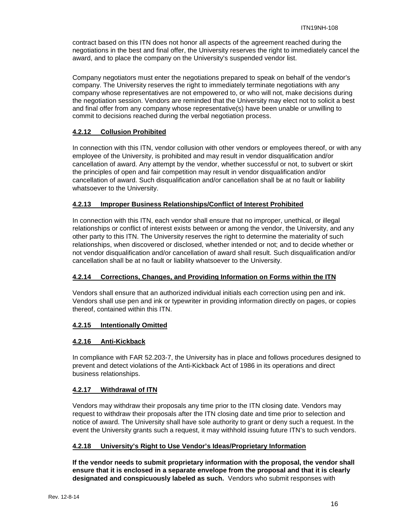contract based on this ITN does not honor all aspects of the agreement reached during the negotiations in the best and final offer, the University reserves the right to immediately cancel the award, and to place the company on the University's suspended vendor list.

Company negotiators must enter the negotiations prepared to speak on behalf of the vendor's company. The University reserves the right to immediately terminate negotiations with any company whose representatives are not empowered to, or who will not, make decisions during the negotiation session. Vendors are reminded that the University may elect not to solicit a best and final offer from any company whose representative(s) have been unable or unwilling to commit to decisions reached during the verbal negotiation process.

## <span id="page-15-0"></span>**4.2.12 Collusion Prohibited**

In connection with this ITN, vendor collusion with other vendors or employees thereof, or with any employee of the University, is prohibited and may result in vendor disqualification and/or cancellation of award. Any attempt by the vendor, whether successful or not, to subvert or skirt the principles of open and fair competition may result in vendor disqualification and/or cancellation of award. Such disqualification and/or cancellation shall be at no fault or liability whatsoever to the University.

#### <span id="page-15-1"></span>**4.2.13 Improper Business Relationships/Conflict of Interest Prohibited**

In connection with this ITN, each vendor shall ensure that no improper, unethical, or illegal relationships or conflict of interest exists between or among the vendor, the University, and any other party to this ITN. The University reserves the right to determine the materiality of such relationships, when discovered or disclosed, whether intended or not; and to decide whether or not vendor disqualification and/or cancellation of award shall result. Such disqualification and/or cancellation shall be at no fault or liability whatsoever to the University.

## <span id="page-15-2"></span>**4.2.14 Corrections, Changes, and Providing Information on Forms within the ITN**

Vendors shall ensure that an authorized individual initials each correction using pen and ink. Vendors shall use pen and ink or typewriter in providing information directly on pages, or copies thereof, contained within this ITN.

## <span id="page-15-3"></span>**4.2.15 Intentionally Omitted**

#### <span id="page-15-4"></span>**4.2.16 Anti-Kickback**

In compliance with FAR 52.203-7, the University has in place and follows procedures designed to prevent and detect violations of the Anti-Kickback Act of 1986 in its operations and direct business relationships.

#### <span id="page-15-5"></span>**4.2.17 Withdrawal of ITN**

Vendors may withdraw their proposals any time prior to the ITN closing date. Vendors may request to withdraw their proposals after the ITN closing date and time prior to selection and notice of award. The University shall have sole authority to grant or deny such a request. In the event the University grants such a request, it may withhold issuing future ITN's to such vendors.

#### <span id="page-15-6"></span>**4.2.18 University's Right to Use Vendor's Ideas/Proprietary Information**

**If the vendor needs to submit proprietary information with the proposal, the vendor shall ensure that it is enclosed in a separate envelope from the proposal and that it is clearly designated and conspicuously labeled as such.** Vendors who submit responses with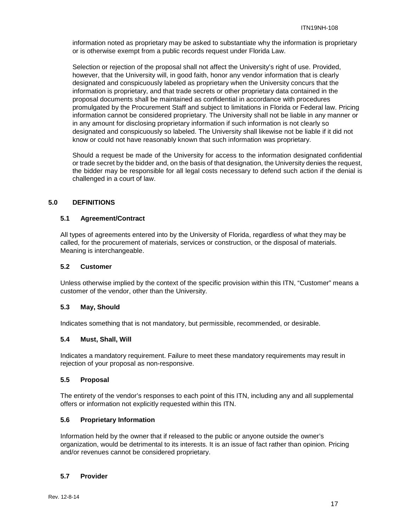information noted as proprietary may be asked to substantiate why the information is proprietary or is otherwise exempt from a public records request under Florida Law.

Selection or rejection of the proposal shall not affect the University's right of use. Provided, however, that the University will, in good faith, honor any vendor information that is clearly designated and conspicuously labeled as proprietary when the University concurs that the information is proprietary, and that trade secrets or other proprietary data contained in the proposal documents shall be maintained as confidential in accordance with procedures promulgated by the Procurement Staff and subject to limitations in Florida or Federal law. Pricing information cannot be considered proprietary. The University shall not be liable in any manner or in any amount for disclosing proprietary information if such information is not clearly so designated and conspicuously so labeled. The University shall likewise not be liable if it did not know or could not have reasonably known that such information was proprietary.

Should a request be made of the University for access to the information designated confidential or trade secret by the bidder and, on the basis of that designation, the University denies the request, the bidder may be responsible for all legal costs necessary to defend such action if the denial is challenged in a court of law.

## <span id="page-16-0"></span>**5.0 DEFINITIONS**

## <span id="page-16-1"></span>**5.1 Agreement/Contract**

All types of agreements entered into by the University of Florida, regardless of what they may be called, for the procurement of materials, services or construction, or the disposal of materials. Meaning is interchangeable.

## <span id="page-16-2"></span>**5.2 Customer**

Unless otherwise implied by the context of the specific provision within this ITN, "Customer" means a customer of the vendor, other than the University.

#### <span id="page-16-3"></span>**5.3 May, Should**

Indicates something that is not mandatory, but permissible, recommended, or desirable.

#### <span id="page-16-4"></span>**5.4 Must, Shall, Will**

Indicates a mandatory requirement. Failure to meet these mandatory requirements may result in reiection of your proposal as non-responsive.

#### <span id="page-16-5"></span>**5.5 Proposal**

The entirety of the vendor's responses to each point of this ITN, including any and all supplemental offers or information not explicitly requested within this ITN.

## <span id="page-16-6"></span>**5.6 Proprietary Information**

Information held by the owner that if released to the public or anyone outside the owner's organization, would be detrimental to its interests. It is an issue of fact rather than opinion. Pricing and/or revenues cannot be considered proprietary.

## <span id="page-16-7"></span>**5.7 Provider**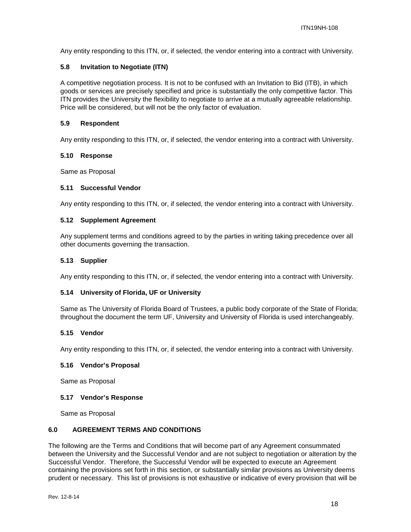Any entity responding to this ITN, or, if selected, the vendor entering into a contract with University.

## <span id="page-17-0"></span>**5.8 Invitation to Negotiate (ITN)**

A competitive negotiation process. It is not to be confused with an Invitation to Bid (ITB), in which goods or services are precisely specified and price is substantially the only competitive factor. This ITN provides the University the flexibility to negotiate to arrive at a mutually agreeable relationship. Price will be considered, but will not be the only factor of evaluation.

#### <span id="page-17-1"></span>**5.9 Respondent**

Any entity responding to this ITN, or, if selected, the vendor entering into a contract with University.

#### <span id="page-17-2"></span>**5.10 Response**

Same as Proposal

#### <span id="page-17-3"></span>**5.11 Successful Vendor**

Any entity responding to this ITN, or, if selected, the vendor entering into a contract with University.

#### <span id="page-17-4"></span>**5.12 Supplement Agreement**

Any supplement terms and conditions agreed to by the parties in writing taking precedence over all other documents governing the transaction.

#### <span id="page-17-5"></span>**5.13 Supplier**

Any entity responding to this ITN, or, if selected, the vendor entering into a contract with University.

#### <span id="page-17-6"></span>**5.14 University of Florida, UF or University**

Same as The University of Florida Board of Trustees, a public body corporate of the State of Florida; throughout the document the term UF, University and University of Florida is used interchangeably.

#### <span id="page-17-7"></span>**5.15 Vendor**

Any entity responding to this ITN, or, if selected, the vendor entering into a contract with University.

#### <span id="page-17-8"></span>**5.16 Vendor's Proposal**

Same as Proposal

#### <span id="page-17-9"></span>**5.17 Vendor's Response**

Same as Proposal

## <span id="page-17-10"></span>**6.0 AGREEMENT TERMS AND CONDITIONS**

The following are the Terms and Conditions that will become part of any Agreement consummated between the University and the Successful Vendor and are not subject to negotiation or alteration by the Successful Vendor. Therefore, the Successful Vendor will be expected to execute an Agreement containing the provisions set forth in this section, or substantially similar provisions as University deems prudent or necessary. This list of provisions is not exhaustive or indicative of every provision that will be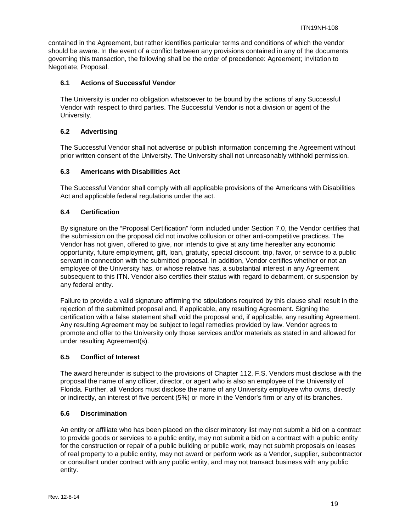contained in the Agreement, but rather identifies particular terms and conditions of which the vendor should be aware. In the event of a conflict between any provisions contained in any of the documents governing this transaction, the following shall be the order of precedence: Agreement; Invitation to Negotiate; Proposal.

## <span id="page-18-0"></span>**6.1 Actions of Successful Vendor**

The University is under no obligation whatsoever to be bound by the actions of any Successful Vendor with respect to third parties. The Successful Vendor is not a division or agent of the University.

## <span id="page-18-1"></span>**6.2 Advertising**

The Successful Vendor shall not advertise or publish information concerning the Agreement without prior written consent of the University. The University shall not unreasonably withhold permission.

## <span id="page-18-2"></span>**6.3 Americans with Disabilities Act**

The Successful Vendor shall comply with all applicable provisions of the Americans with Disabilities Act and applicable federal regulations under the act.

## <span id="page-18-3"></span>**6.4 Certification**

By signature on the "Proposal Certification" form included under Section 7.0, the Vendor certifies that the submission on the proposal did not involve collusion or other anti-competitive practices. The Vendor has not given, offered to give, nor intends to give at any time hereafter any economic opportunity, future employment, gift, loan, gratuity, special discount, trip, favor, or service to a public servant in connection with the submitted proposal. In addition, Vendor certifies whether or not an employee of the University has, or whose relative has, a substantial interest in any Agreement subsequent to this ITN. Vendor also certifies their status with regard to debarment, or suspension by any federal entity.

Failure to provide a valid signature affirming the stipulations required by this clause shall result in the rejection of the submitted proposal and, if applicable, any resulting Agreement. Signing the certification with a false statement shall void the proposal and, if applicable, any resulting Agreement. Any resulting Agreement may be subject to legal remedies provided by law. Vendor agrees to promote and offer to the University only those services and/or materials as stated in and allowed for under resulting Agreement(s).

#### <span id="page-18-4"></span>**6.5 Conflict of Interest**

The award hereunder is subject to the provisions of Chapter 112, F.S. Vendors must disclose with the proposal the name of any officer, director, or agent who is also an employee of the University of Florida. Further, all Vendors must disclose the name of any University employee who owns, directly or indirectly, an interest of five percent (5%) or more in the Vendor's firm or any of its branches.

## <span id="page-18-5"></span>**6.6 Discrimination**

An entity or affiliate who has been placed on the discriminatory list may not submit a bid on a contract to provide goods or services to a public entity, may not submit a bid on a contract with a public entity for the construction or repair of a public building or public work, may not submit proposals on leases of real property to a public entity, may not award or perform work as a Vendor, supplier, subcontractor or consultant under contract with any public entity, and may not transact business with any public entity.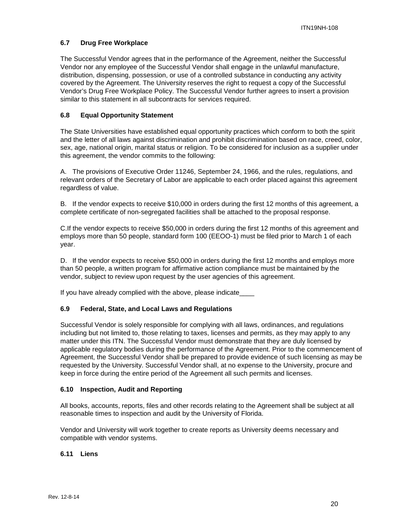## <span id="page-19-0"></span>**6.7 Drug Free Workplace**

The Successful Vendor agrees that in the performance of the Agreement, neither the Successful Vendor nor any employee of the Successful Vendor shall engage in the unlawful manufacture, distribution, dispensing, possession, or use of a controlled substance in conducting any activity covered by the Agreement. The University reserves the right to request a copy of the Successful Vendor's Drug Free Workplace Policy. The Successful Vendor further agrees to insert a provision similar to this statement in all subcontracts for services required.

## <span id="page-19-1"></span>**6.8 Equal Opportunity Statement**

The State Universities have established equal opportunity practices which conform to both the spirit and the letter of all laws against discrimination and prohibit discrimination based on race, creed, color, sex, age, national origin, marital status or religion. To be considered for inclusion as a supplier under this agreement, the vendor commits to the following:

A. The provisions of Executive Order 11246, September 24, 1966, and the rules, regulations, and relevant orders of the Secretary of Labor are applicable to each order placed against this agreement regardless of value.

B. If the vendor expects to receive \$10,000 in orders during the first 12 months of this agreement, a complete certificate of non-segregated facilities shall be attached to the proposal response.

C.If the vendor expects to receive \$50,000 in orders during the first 12 months of this agreement and employs more than 50 people, standard form 100 (EEOO-1) must be filed prior to March 1 of each year.

D. If the vendor expects to receive \$50,000 in orders during the first 12 months and employs more than 50 people, a written program for affirmative action compliance must be maintained by the vendor, subject to review upon request by the user agencies of this agreement.

If you have already complied with the above, please indicate

#### <span id="page-19-2"></span>**6.9 Federal, State, and Local Laws and Regulations**

Successful Vendor is solely responsible for complying with all laws, ordinances, and regulations including but not limited to, those relating to taxes, licenses and permits, as they may apply to any matter under this ITN. The Successful Vendor must demonstrate that they are duly licensed by applicable regulatory bodies during the performance of the Agreement. Prior to the commencement of Agreement, the Successful Vendor shall be prepared to provide evidence of such licensing as may be requested by the University. Successful Vendor shall, at no expense to the University, procure and keep in force during the entire period of the Agreement all such permits and licenses.

#### <span id="page-19-3"></span>**6.10 Inspection, Audit and Reporting**

All books, accounts, reports, files and other records relating to the Agreement shall be subject at all reasonable times to inspection and audit by the University of Florida.

Vendor and University will work together to create reports as University deems necessary and compatible with vendor systems.

#### <span id="page-19-4"></span>**6.11 Liens**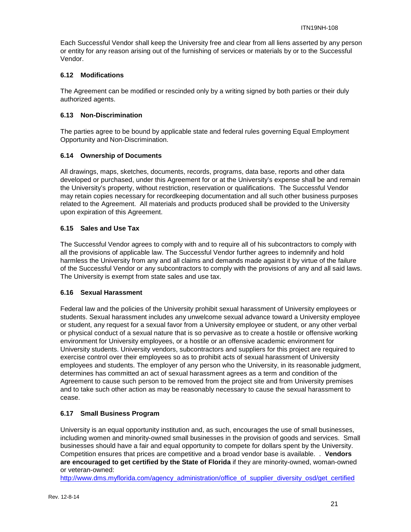Each Successful Vendor shall keep the University free and clear from all liens asserted by any person or entity for any reason arising out of the furnishing of services or materials by or to the Successful Vendor.

## <span id="page-20-0"></span>**6.12 Modifications**

The Agreement can be modified or rescinded only by a writing signed by both parties or their duly authorized agents.

## <span id="page-20-1"></span>**6.13 Non-Discrimination**

The parties agree to be bound by applicable state and federal rules governing Equal Employment Opportunity and Non-Discrimination.

## <span id="page-20-2"></span>**6.14 Ownership of Documents**

All drawings, maps, sketches, documents, records, programs, data base, reports and other data developed or purchased, under this Agreement for or at the University's expense shall be and remain the University's property, without restriction, reservation or qualifications. The Successful Vendor may retain copies necessary for recordkeeping documentation and all such other business purposes related to the Agreement. All materials and products produced shall be provided to the University upon expiration of this Agreement.

## <span id="page-20-3"></span>**6.15 Sales and Use Tax**

The Successful Vendor agrees to comply with and to require all of his subcontractors to comply with all the provisions of applicable law. The Successful Vendor further agrees to indemnify and hold harmless the University from any and all claims and demands made against it by virtue of the failure of the Successful Vendor or any subcontractors to comply with the provisions of any and all said laws. The University is exempt from state sales and use tax.

#### <span id="page-20-4"></span>**6.16 Sexual Harassment**

Federal law and the policies of the University prohibit sexual harassment of University employees or students. Sexual harassment includes any unwelcome sexual advance toward a University employee or student, any request for a sexual favor from a University employee or student, or any other verbal or physical conduct of a sexual nature that is so pervasive as to create a hostile or offensive working environment for University employees, or a hostile or an offensive academic environment for University students. University vendors, subcontractors and suppliers for this project are required to exercise control over their employees so as to prohibit acts of sexual harassment of University employees and students. The employer of any person who the University, in its reasonable judgment, determines has committed an act of sexual harassment agrees as a term and condition of the Agreement to cause such person to be removed from the project site and from University premises and to take such other action as may be reasonably necessary to cause the sexual harassment to cease.

## <span id="page-20-5"></span>**6.17 Small Business Program**

University is an equal opportunity institution and, as such, encourages the use of small businesses, including women and minority-owned small businesses in the provision of goods and services. Small businesses should have a fair and equal opportunity to compete for dollars spent by the University. Competition ensures that prices are competitive and a broad vendor base is available. . **Vendors are encouraged to get certified by the State of Florida** if they are minority-owned, woman-owned or veteran-owned:

[http://www.dms.myflorida.com/agency\\_administration/office\\_of\\_supplier\\_diversity\\_osd/get\\_certified](http://www.dms.myflorida.com/agency_administration/office_of_supplier_diversity_osd/get_certified)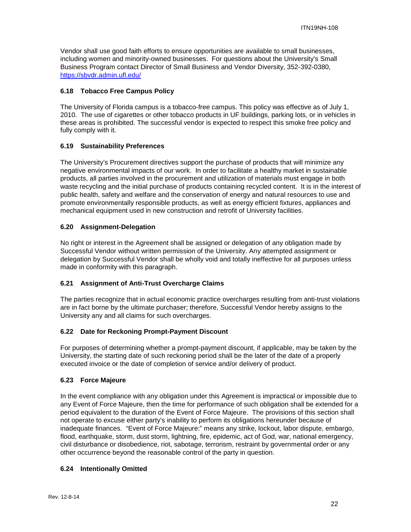Vendor shall use good faith efforts to ensure opportunities are available to small businesses, including women and minority-owned businesses. For questions about the University's Small Business Program contact Director of Small Business and Vendor Diversity, 352-392-0380, <https://sbvdr.admin.ufl.edu/>

## <span id="page-21-0"></span>**6.18 Tobacco Free Campus Policy**

The University of Florida campus is a tobacco-free campus. This policy was effective as of July 1, 2010. The use of cigarettes or other tobacco products in UF buildings, parking lots, or in vehicles in these areas is prohibited. The successful vendor is expected to respect this smoke free policy and fully comply with it.

## <span id="page-21-1"></span>**6.19 Sustainability Preferences**

The University's Procurement directives support the purchase of products that will minimize any negative environmental impacts of our work. In order to facilitate a healthy market in sustainable products, all parties involved in the procurement and utilization of materials must engage in both waste recycling and the initial purchase of products containing recycled content. It is in the interest of public health, safety and welfare and the conservation of energy and natural resources to use and promote environmentally responsible products, as well as energy efficient fixtures, appliances and mechanical equipment used in new construction and retrofit of University facilities.

## <span id="page-21-2"></span>**6.20 Assignment-Delegation**

No right or interest in the Agreement shall be assigned or delegation of any obligation made by Successful Vendor without written permission of the University. Any attempted assignment or delegation by Successful Vendor shall be wholly void and totally ineffective for all purposes unless made in conformity with this paragraph.

## <span id="page-21-3"></span>**6.21 Assignment of Anti-Trust Overcharge Claims**

The parties recognize that in actual economic practice overcharges resulting from anti-trust violations are in fact borne by the ultimate purchaser; therefore, Successful Vendor hereby assigns to the University any and all claims for such overcharges.

#### <span id="page-21-4"></span>**6.22 Date for Reckoning Prompt-Payment Discount**

For purposes of determining whether a prompt-payment discount, if applicable, may be taken by the University, the starting date of such reckoning period shall be the later of the date of a properly executed invoice or the date of completion of service and/or delivery of product.

#### <span id="page-21-5"></span>**6.23 Force Majeure**

In the event compliance with any obligation under this Agreement is impractical or impossible due to any Event of Force Majeure, then the time for performance of such obligation shall be extended for a period equivalent to the duration of the Event of Force Majeure. The provisions of this section shall not operate to excuse either party's inability to perform its obligations hereunder because of inadequate finances. "Event of Force Majeure:" means any strike, lockout, labor dispute, embargo, flood, earthquake, storm, dust storm, lightning, fire, epidemic, act of God, war, national emergency, civil disturbance or disobedience, riot, sabotage, terrorism, restraint by governmental order or any other occurrence beyond the reasonable control of the party in question.

#### <span id="page-21-6"></span>**6.24 Intentionally Omitted**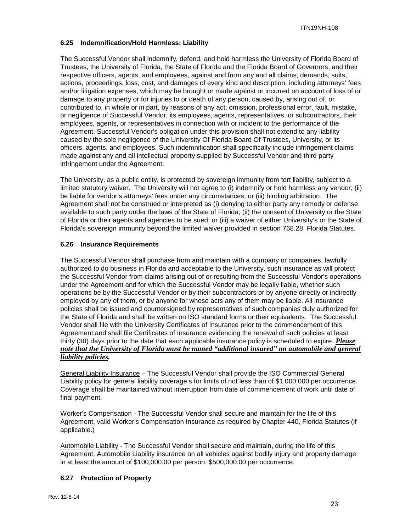## <span id="page-22-0"></span>**6.25 Indemnification/Hold Harmless; Liability**

The Successful Vendor shall indemnify, defend, and hold harmless the University of Florida Board of Trustees, the University of Florida, the State of Florida and the Florida Board of Governors, and their respective officers, agents, and employees, against and from any and all claims, demands, suits, actions, proceedings, loss, cost, and damages of every kind and description, including attorneys' fees and/or litigation expenses, which may be brought or made against or incurred on account of loss of or damage to any property or for injuries to or death of any person, caused by, arising out of, or contributed to, in whole or in part, by reasons of any act, omission, professional error, fault, mistake, or negligence of Successful Vendor, its employees, agents, representatives, or subcontractors, their employees, agents, or representatives in connection with or incident to the performance of the Agreement. Successful Vendor's obligation under this provision shall not extend to any liability caused by the sole negligence of the University Of Florida Board Of Trustees, University, or its officers, agents, and employees. Such indemnification shall specifically include infringement claims made against any and all intellectual property supplied by Successful Vendor and third party infringement under the Agreement.

The University, as a public entity, is protected by sovereign immunity from tort liability, subject to a limited statutory waiver. The University will not agree to (i) indemnify or hold harmless any vendor; (ii) be liable for vendor's attorneys' fees under any circumstances; or (iii) binding arbitration. The Agreement shall not be construed or interpreted as (i) denying to either party any remedy or defense available to such party under the laws of the State of Florida; (ii) the consent of University or the State of Florida or their agents and agencies to be sued; or (iii) a waiver of either University's or the State of Florida's sovereign immunity beyond the limited waiver provided in section 768.28, Florida Statutes.

## <span id="page-22-1"></span>**6.26 Insurance Requirements**

The Successful Vendor shall purchase from and maintain with a company or companies, lawfully authorized to do business in Florida and acceptable to the University, such insurance as will protect the Successful Vendor from claims arising out of or resulting from the Successful Vendor's operations under the Agreement and for which the Successful Vendor may be legally liable, whether such operations be by the Successful Vendor or by their subcontractors or by anyone directly or indirectly employed by any of them, or by anyone for whose acts any of them may be liable. All insurance policies shall be issued and countersigned by representatives of such companies duly authorized for the State of Florida and shall be written on ISO standard forms or their equivalents. The Successful Vendor shall file with the University Certificates of Insurance prior to the commencement of this Agreement and shall file Certificates of Insurance evidencing the renewal of such policies at least thirty (30) days prior to the date that each applicable insurance policy is scheduled to expire. *Please note that the University of Florida must be named "additional insured" on automobile and general liability policies.*

General Liability Insurance – The Successful Vendor shall provide the ISO Commercial General Liability policy for general liability coverage's for limits of not less than of \$1,000,000 per occurrence. Coverage shall be maintained without interruption from date of commencement of work until date of final payment.

Worker's Compensation - The Successful Vendor shall secure and maintain for the life of this Agreement, valid Worker's Compensation Insurance as required by Chapter 440, Florida Statutes (if applicable.)

Automobile Liability - The Successful Vendor shall secure and maintain, during the life of this Agreement, Automobile Liability insurance on all vehicles against bodily injury and property damage in at least the amount of \$100,000.00 per person, \$500,000.00 per occurrence.

## <span id="page-22-2"></span>**6.27 Protection of Property**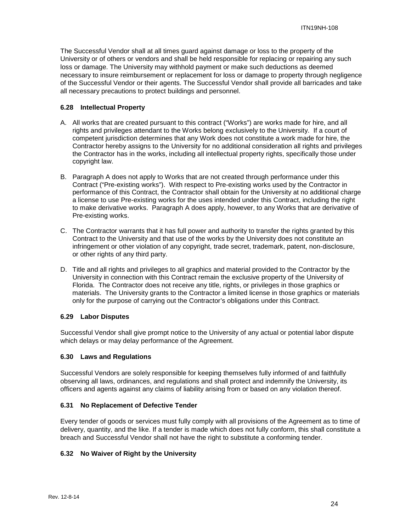The Successful Vendor shall at all times guard against damage or loss to the property of the University or of others or vendors and shall be held responsible for replacing or repairing any such loss or damage. The University may withhold payment or make such deductions as deemed necessary to insure reimbursement or replacement for loss or damage to property through negligence of the Successful Vendor or their agents. The Successful Vendor shall provide all barricades and take all necessary precautions to protect buildings and personnel.

## <span id="page-23-0"></span>**6.28 Intellectual Property**

- A. All works that are created pursuant to this contract ("Works") are works made for hire, and all rights and privileges attendant to the Works belong exclusively to the University. If a court of competent jurisdiction determines that any Work does not constitute a work made for hire, the Contractor hereby assigns to the University for no additional consideration all rights and privileges the Contractor has in the works, including all intellectual property rights, specifically those under copyright law.
- B. Paragraph A does not apply to Works that are not created through performance under this Contract ("Pre-existing works"). With respect to Pre-existing works used by the Contractor in performance of this Contract, the Contractor shall obtain for the University at no additional charge a license to use Pre-existing works for the uses intended under this Contract, including the right to make derivative works. Paragraph A does apply, however, to any Works that are derivative of Pre-existing works.
- C. The Contractor warrants that it has full power and authority to transfer the rights granted by this Contract to the University and that use of the works by the University does not constitute an infringement or other violation of any copyright, trade secret, trademark, patent, non-disclosure, or other rights of any third party.
- D. Title and all rights and privileges to all graphics and material provided to the Contractor by the University in connection with this Contract remain the exclusive property of the University of Florida. The Contractor does not receive any title, rights, or privileges in those graphics or materials. The University grants to the Contractor a limited license in those graphics or materials only for the purpose of carrying out the Contractor's obligations under this Contract.

#### <span id="page-23-1"></span>**6.29 Labor Disputes**

Successful Vendor shall give prompt notice to the University of any actual or potential labor dispute which delays or may delay performance of the Agreement.

#### <span id="page-23-2"></span>**6.30 Laws and Regulations**

Successful Vendors are solely responsible for keeping themselves fully informed of and faithfully observing all laws, ordinances, and regulations and shall protect and indemnify the University, its officers and agents against any claims of liability arising from or based on any violation thereof.

#### <span id="page-23-3"></span>**6.31 No Replacement of Defective Tender**

Every tender of goods or services must fully comply with all provisions of the Agreement as to time of delivery, quantity, and the like. If a tender is made which does not fully conform, this shall constitute a breach and Successful Vendor shall not have the right to substitute a conforming tender.

#### <span id="page-23-4"></span>**6.32 No Waiver of Right by the University**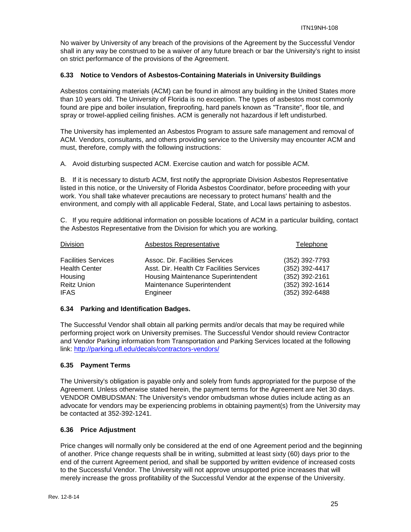No waiver by University of any breach of the provisions of the Agreement by the Successful Vendor shall in any way be construed to be a waiver of any future breach or bar the University's right to insist on strict performance of the provisions of the Agreement.

## <span id="page-24-0"></span>**6.33 Notice to Vendors of Asbestos-Containing Materials in University Buildings**

Asbestos containing materials (ACM) can be found in almost any building in the United States more than 10 years old. The University of Florida is no exception. The types of asbestos most commonly found are pipe and boiler insulation, fireproofing, hard panels known as "Transite", floor tile, and spray or trowel-applied ceiling finishes. ACM is generally not hazardous if left undisturbed.

The University has implemented an Asbestos Program to assure safe management and removal of ACM. Vendors, consultants, and others providing service to the University may encounter ACM and must, therefore, comply with the following instructions:

A. Avoid disturbing suspected ACM. Exercise caution and watch for possible ACM.

B. If it is necessary to disturb ACM, first notify the appropriate Division Asbestos Representative listed in this notice, or the University of Florida Asbestos Coordinator, before proceeding with your work. You shall take whatever precautions are necessary to protect humans' health and the environment, and comply with all applicable Federal, State, and Local laws pertaining to asbestos.

C. If you require additional information on possible locations of ACM in a particular building, contact the Asbestos Representative from the Division for which you are working.

| <b>Division</b>            | Asbestos Representative                   | Telephone      |
|----------------------------|-------------------------------------------|----------------|
| <b>Facilities Services</b> | Assoc. Dir. Facilities Services           | (352) 392-7793 |
| <b>Health Center</b>       | Asst. Dir. Health Ctr Facilities Services | (352) 392-4417 |
| Housing                    | Housing Maintenance Superintendent        | (352) 392-2161 |
| <b>Reitz Union</b>         | Maintenance Superintendent                | (352) 392-1614 |
| <b>IFAS</b>                | Engineer                                  | (352) 392-6488 |

## <span id="page-24-1"></span>**6.34 Parking and Identification Badges.**

The Successful Vendor shall obtain all parking permits and/or decals that may be required while performing project work on University premises. The Successful Vendor should review Contractor and Vendor Parking information from Transportation and Parking Services located at the following link: <http://parking.ufl.edu/decals/contractors-vendors/>

## <span id="page-24-2"></span>**6.35 Payment Terms**

The University's obligation is payable only and solely from funds appropriated for the purpose of the Agreement. Unless otherwise stated herein, the payment terms for the Agreement are Net 30 days. VENDOR OMBUDSMAN: The University's vendor ombudsman whose duties include acting as an advocate for vendors may be experiencing problems in obtaining payment(s) from the University may be contacted at 352-392-1241.

#### <span id="page-24-3"></span>**6.36 Price Adjustment**

Price changes will normally only be considered at the end of one Agreement period and the beginning of another. Price change requests shall be in writing, submitted at least sixty (60) days prior to the end of the current Agreement period, and shall be supported by written evidence of increased costs to the Successful Vendor. The University will not approve unsupported price increases that will merely increase the gross profitability of the Successful Vendor at the expense of the University.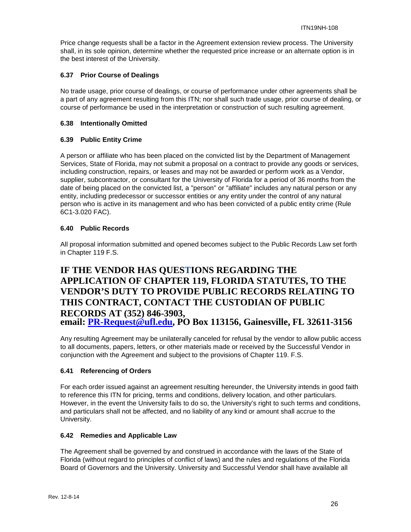Price change requests shall be a factor in the Agreement extension review process. The University shall, in its sole opinion, determine whether the requested price increase or an alternate option is in the best interest of the University.

## <span id="page-25-0"></span>**6.37 Prior Course of Dealings**

No trade usage, prior course of dealings, or course of performance under other agreements shall be a part of any agreement resulting from this ITN; nor shall such trade usage, prior course of dealing, or course of performance be used in the interpretation or construction of such resulting agreement.

## <span id="page-25-1"></span>**6.38 Intentionally Omitted**

## <span id="page-25-2"></span>**6.39 Public Entity Crime**

A person or affiliate who has been placed on the convicted list by the Department of Management Services, State of Florida, may not submit a proposal on a contract to provide any goods or services, including construction, repairs, or leases and may not be awarded or perform work as a Vendor, supplier, subcontractor, or consultant for the University of Florida for a period of 36 months from the date of being placed on the convicted list, a "person" or "affiliate" includes any natural person or any entity, including predecessor or successor entities or any entity under the control of any natural person who is active in its management and who has been convicted of a public entity crime (Rule 6C1-3.020 FAC).

## <span id="page-25-3"></span>**6.40 Public Records**

All proposal information submitted and opened becomes subject to the Public Records Law set forth in Chapter 119 F.S.

## **IF THE VENDOR HAS QUESTIONS REGARDING THE APPLICATION OF CHAPTER 119, FLORIDA STATUTES, TO THE VENDOR'S DUTY TO PROVIDE PUBLIC RECORDS RELATING TO THIS CONTRACT, CONTACT THE CUSTODIAN OF PUBLIC RECORDS AT (352) 846-3903, email: [PR-Request@ufl.edu,](mailto:PR-Request@ufl.edu) PO Box 113156, Gainesville, FL 32611-3156**

Any resulting Agreement may be unilaterally canceled for refusal by the vendor to allow public access to all documents, papers, letters, or other materials made or received by the Successful Vendor in conjunction with the Agreement and subject to the provisions of Chapter 119. F.S.

## <span id="page-25-4"></span>**6.41 Referencing of Orders**

For each order issued against an agreement resulting hereunder, the University intends in good faith to reference this ITN for pricing, terms and conditions, delivery location, and other particulars. However, in the event the University fails to do so, the University's right to such terms and conditions, and particulars shall not be affected, and no liability of any kind or amount shall accrue to the University.

#### <span id="page-25-5"></span>**6.42 Remedies and Applicable Law**

The Agreement shall be governed by and construed in accordance with the laws of the State of Florida (without regard to principles of conflict of laws) and the rules and regulations of the Florida Board of Governors and the University. University and Successful Vendor shall have available all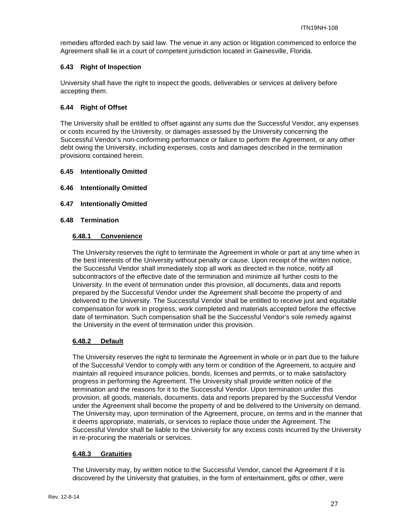remedies afforded each by said law. The venue in any action or litigation commenced to enforce the Agreement shall lie in a court of competent jurisdiction located in Gainesville, Florida.

## <span id="page-26-0"></span>**6.43 Right of Inspection**

University shall have the right to inspect the goods, deliverables or services at delivery before accepting them.

## <span id="page-26-1"></span>**6.44 Right of Offset**

The University shall be entitled to offset against any sums due the Successful Vendor, any expenses or costs incurred by the University, or damages assessed by the University concerning the Successful Vendor's non-conforming performance or failure to perform the Agreement, or any other debt owing the University, including expenses, costs and damages described in the termination provisions contained herein.

## <span id="page-26-2"></span>**6.45 Intentionally Omitted**

- <span id="page-26-3"></span>**6.46 Intentionally Omitted**
- <span id="page-26-4"></span>**6.47 Intentionally Omitted**

#### <span id="page-26-6"></span><span id="page-26-5"></span>**6.48 Termination**

## **6.48.1 Convenience**

The University reserves the right to terminate the Agreement in whole or part at any time when in the best interests of the University without penalty or cause. Upon receipt of the written notice, the Successful Vendor shall immediately stop all work as directed in the notice, notify all subcontractors of the effective date of the termination and minimize all further costs to the University. In the event of termination under this provision, all documents, data and reports prepared by the Successful Vendor under the Agreement shall become the property of and delivered to the University. The Successful Vendor shall be entitled to receive just and equitable compensation for work in progress, work completed and materials accepted before the effective date of termination. Such compensation shall be the Successful Vendor's sole remedy against the University in the event of termination under this provision.

#### <span id="page-26-7"></span>**6.48.2 Default**

The University reserves the right to terminate the Agreement in whole or in part due to the failure of the Successful Vendor to comply with any term or condition of the Agreement, to acquire and maintain all required insurance policies, bonds, licenses and permits, or to make satisfactory progress in performing the Agreement. The University shall provide written notice of the termination and the reasons for it to the Successful Vendor. Upon termination under this provision, all goods, materials, documents, data and reports prepared by the Successful Vendor under the Agreement shall become the property of and be delivered to the University on demand. The University may, upon termination of the Agreement, procure, on terms and in the manner that it deems appropriate, materials, or services to replace those under the Agreement. The Successful Vendor shall be liable to the University for any excess costs incurred by the University in re-procuring the materials or services.

#### <span id="page-26-8"></span>**6.48.3 Gratuities**

The University may, by written notice to the Successful Vendor, cancel the Agreement if it is discovered by the University that gratuities, in the form of entertainment, gifts or other, were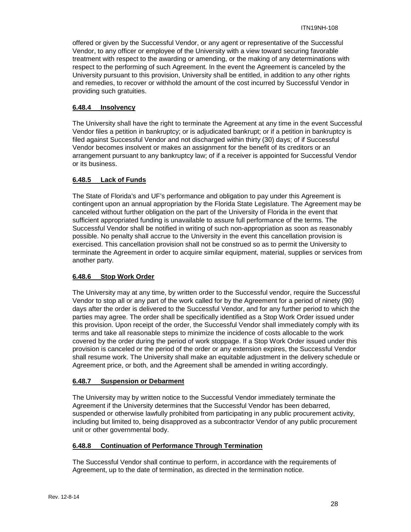offered or given by the Successful Vendor, or any agent or representative of the Successful Vendor, to any officer or employee of the University with a view toward securing favorable treatment with respect to the awarding or amending, or the making of any determinations with respect to the performing of such Agreement. In the event the Agreement is canceled by the University pursuant to this provision, University shall be entitled, in addition to any other rights and remedies, to recover or withhold the amount of the cost incurred by Successful Vendor in providing such gratuities.

## <span id="page-27-0"></span>**6.48.4 Insolvency**

The University shall have the right to terminate the Agreement at any time in the event Successful Vendor files a petition in bankruptcy; or is adjudicated bankrupt; or if a petition in bankruptcy is filed against Successful Vendor and not discharged within thirty (30) days; of if Successful Vendor becomes insolvent or makes an assignment for the benefit of its creditors or an arrangement pursuant to any bankruptcy law; of if a receiver is appointed for Successful Vendor or its business.

## <span id="page-27-1"></span>**6.48.5 Lack of Funds**

The State of Florida's and UF's performance and obligation to pay under this Agreement is contingent upon an annual appropriation by the Florida State Legislature. The Agreement may be canceled without further obligation on the part of the University of Florida in the event that sufficient appropriated funding is unavailable to assure full performance of the terms. The Successful Vendor shall be notified in writing of such non-appropriation as soon as reasonably possible. No penalty shall accrue to the University in the event this cancellation provision is exercised. This cancellation provision shall not be construed so as to permit the University to terminate the Agreement in order to acquire similar equipment, material, supplies or services from another party.

## <span id="page-27-2"></span>**6.48.6 Stop Work Order**

The University may at any time, by written order to the Successful vendor, require the Successful Vendor to stop all or any part of the work called for by the Agreement for a period of ninety (90) days after the order is delivered to the Successful Vendor, and for any further period to which the parties may agree. The order shall be specifically identified as a Stop Work Order issued under this provision. Upon receipt of the order, the Successful Vendor shall immediately comply with its terms and take all reasonable steps to minimize the incidence of costs allocable to the work covered by the order during the period of work stoppage. If a Stop Work Order issued under this provision is canceled or the period of the order or any extension expires, the Successful Vendor shall resume work. The University shall make an equitable adjustment in the delivery schedule or Agreement price, or both, and the Agreement shall be amended in writing accordingly.

#### <span id="page-27-3"></span>**6.48.7 Suspension or Debarment**

The University may by written notice to the Successful Vendor immediately terminate the Agreement if the University determines that the Successful Vendor has been debarred, suspended or otherwise lawfully prohibited from participating in any public procurement activity, including but limited to, being disapproved as a subcontractor Vendor of any public procurement unit or other governmental body.

#### <span id="page-27-4"></span>**6.48.8 Continuation of Performance Through Termination**

The Successful Vendor shall continue to perform, in accordance with the requirements of Agreement, up to the date of termination, as directed in the termination notice.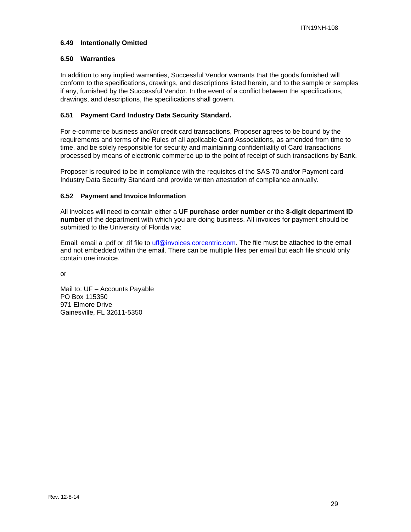#### <span id="page-28-0"></span>**6.49 Intentionally Omitted**

## <span id="page-28-1"></span>**6.50 Warranties**

In addition to any implied warranties, Successful Vendor warrants that the goods furnished will conform to the specifications, drawings, and descriptions listed herein, and to the sample or samples if any, furnished by the Successful Vendor. In the event of a conflict between the specifications, drawings, and descriptions, the specifications shall govern.

## <span id="page-28-2"></span>**6.51 Payment Card Industry Data Security Standard.**

For e-commerce business and/or credit card transactions, Proposer agrees to be bound by the requirements and terms of the Rules of all applicable Card Associations, as amended from time to time, and be solely responsible for security and maintaining confidentiality of Card transactions processed by means of electronic commerce up to the point of receipt of such transactions by Bank.

Proposer is required to be in compliance with the requisites of the SAS 70 and/or Payment card Industry Data Security Standard and provide written attestation of compliance annually.

## <span id="page-28-3"></span>**6.52 Payment and Invoice Information**

All invoices will need to contain either a **UF purchase order number** or the **8-digit department ID number** of the department with which you are doing business. All invoices for payment should be submitted to the University of Florida via:

Email: email a .pdf or .tif file to [ufl@invoices.corcentric.com.](mailto:ufl@invoices.corcentric.com) The file must be attached to the email and not embedded within the email. There can be multiple files per email but each file should only contain one invoice.

or

Mail to: UF – Accounts Payable PO Box 115350 971 Elmore Drive Gainesville, FL 32611-5350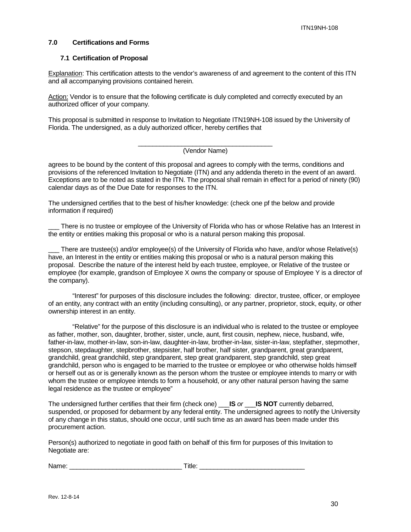## <span id="page-29-0"></span>**7.0 Certifications and Forms**

#### <span id="page-29-1"></span>**7.1 Certification of Proposal**

Explanation: This certification attests to the vendor's awareness of and agreement to the content of this ITN and all accompanying provisions contained herein.

Action: Vendor is to ensure that the following certificate is duly completed and correctly executed by an authorized officer of your company.

This proposal is submitted in response to Invitation to Negotiate ITN19NH-108 issued by the University of Florida. The undersigned, as a duly authorized officer, hereby certifies that

#### \_\_\_\_\_\_\_\_\_\_\_\_\_\_\_\_\_\_\_\_\_\_\_\_\_\_\_\_\_\_\_\_\_\_\_\_\_ (Vendor Name)

agrees to be bound by the content of this proposal and agrees to comply with the terms, conditions and provisions of the referenced Invitation to Negotiate (ITN) and any addenda thereto in the event of an award. Exceptions are to be noted as stated in the ITN. The proposal shall remain in effect for a period of ninety (90) calendar days as of the Due Date for responses to the ITN.

The undersigned certifies that to the best of his/her knowledge: (check one pf the below and provide information if required)

There is no trustee or employee of the University of Florida who has or whose Relative has an Interest in the entity or entities making this proposal or who is a natural person making this proposal.

There are trustee(s) and/or employee(s) of the University of Florida who have, and/or whose Relative(s) have, an Interest in the entity or entities making this proposal or who is a natural person making this proposal. Describe the nature of the interest held by each trustee, employee, or Relative of the trustee or employee (for example, grandson of Employee X owns the company or spouse of Employee Y is a director of the company).

"Interest" for purposes of this disclosure includes the following: director, trustee, officer, or employee of an entity, any contract with an entity (including consulting), or any partner, proprietor, stock, equity, or other ownership interest in an entity.

"Relative" for the purpose of this disclosure is an individual who is related to the trustee or employee as father, mother, son, daughter, brother, sister, uncle, aunt, first cousin, nephew, niece, husband, wife, father-in-law, mother-in-law, son-in-law, daughter-in-law, brother-in-law, sister-in-law, stepfather, stepmother, stepson, stepdaughter, stepbrother, stepsister, half brother, half sister, grandparent, great grandparent, grandchild, great grandchild, step grandparent, step great grandparent, step grandchild, step great grandchild, person who is engaged to be married to the trustee or employee or who otherwise holds himself or herself out as or is generally known as the person whom the trustee or employee intends to marry or with whom the trustee or employee intends to form a household, or any other natural person having the same legal residence as the trustee or employee"

The undersigned further certifies that their firm (check one) \_\_\_**IS** *or* \_\_\_**IS NOT** currently debarred, suspended, or proposed for debarment by any federal entity. The undersigned agrees to notify the University of any change in this status, should one occur, until such time as an award has been made under this procurement action.

Person(s) authorized to negotiate in good faith on behalf of this firm for purposes of this Invitation to Negotiate are:

Name: example and the set of the set of the set of the set of the set of the set of the set of the set of the set of the set of the set of the set of the set of the set of the set of the set of the set of the set of the se